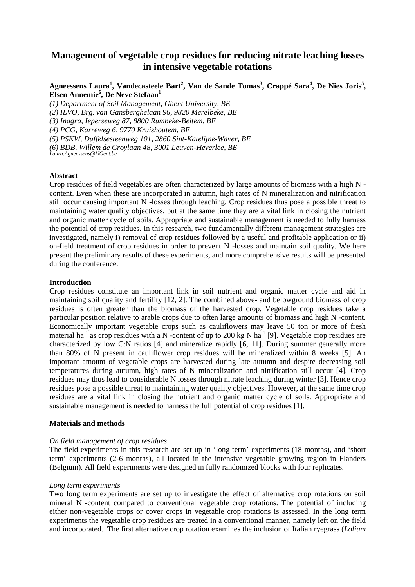# **Management of vegetable crop residues for reducing nitrate leaching losses in intensive vegetable rotations**

### **Agneessens Laura<sup>1</sup> , Vandecasteele Bart<sup>2</sup> , Van de Sande Tomas<sup>3</sup> , Crappé Sara<sup>4</sup> , De Nies Joris<sup>5</sup> , Elsen Annemie<sup>6</sup> , De Neve Stefaan<sup>1</sup>**

*(1) Department of Soil Management, Ghent University, BE (2) ILVO, Brg. van Gansberghelaan 96, 9820 Merelbeke, BE (3) Inagro, Ieperseweg 87, 8800 Rumbeke-Beitem, BE (4) PCG, Karreweg 6, 9770 Kruishoutem, BE (5) PSKW, Duffelsesteenweg 101, 2860 Sint-Katelijne-Waver, BE (6) BDB, Willem de Croylaan 48, 3001 Leuven-Heverlee, BE Laura.Agneessens@UGent.be* 

#### **Abstract**

Crop residues of field vegetables are often characterized by large amounts of biomass with a high N content. Even when these are incorporated in autumn, high rates of N mineralization and nitrification still occur causing important N -losses through leaching. Crop residues thus pose a possible threat to maintaining water quality objectives, but at the same time they are a vital link in closing the nutrient and organic matter cycle of soils. Appropriate and sustainable management is needed to fully harness the potential of crop residues. In this research, two fundamentally different management strategies are investigated, namely i) removal of crop residues followed by a useful and profitable application or ii) on-field treatment of crop residues in order to prevent N -losses and maintain soil quality. We here present the preliminary results of these experiments, and more comprehensive results will be presented during the conference.

#### **Introduction**

Crop residues constitute an important link in soil nutrient and organic matter cycle and aid in maintaining soil quality and fertility [12, 2]. The combined above- and belowground biomass of crop residues is often greater than the biomass of the harvested crop. Vegetable crop residues take a particular position relative to arable crops due to often large amounts of biomass and high N -content. Economically important vegetable crops such as cauliflowers may leave 50 ton or more of fresh material ha<sup>-1</sup> as crop residues with a N -content of up to 200 kg N ha<sup>-1</sup> [9]. Vegetable crop residues are characterized by low C:N ratios [4] and mineralize rapidly [6, 11]. During summer generally more than 80% of N present in cauliflower crop residues will be mineralized within 8 weeks [5]. An important amount of vegetable crops are harvested during late autumn and despite decreasing soil temperatures during autumn, high rates of N mineralization and nitrification still occur [4]. Crop residues may thus lead to considerable N losses through nitrate leaching during winter [3]. Hence crop residues pose a possible threat to maintaining water quality objectives. However, at the same time crop residues are a vital link in closing the nutrient and organic matter cycle of soils. Appropriate and sustainable management is needed to harness the full potential of crop residues [1].

#### **Materials and methods**

### *On field management of crop residues*

The field experiments in this research are set up in 'long term' experiments (18 months), and 'short term' experiments (2-6 months), all located in the intensive vegetable growing region in Flanders (Belgium). All field experiments were designed in fully randomized blocks with four replicates.

#### *Long term experiments*

Two long term experiments are set up to investigate the effect of alternative crop rotations on soil mineral N -content compared to conventional vegetable crop rotations. The potential of including either non-vegetable crops or cover crops in vegetable crop rotations is assessed. In the long term experiments the vegetable crop residues are treated in a conventional manner, namely left on the field and incorporated. The first alternative crop rotation examines the inclusion of Italian ryegrass (*Lolium*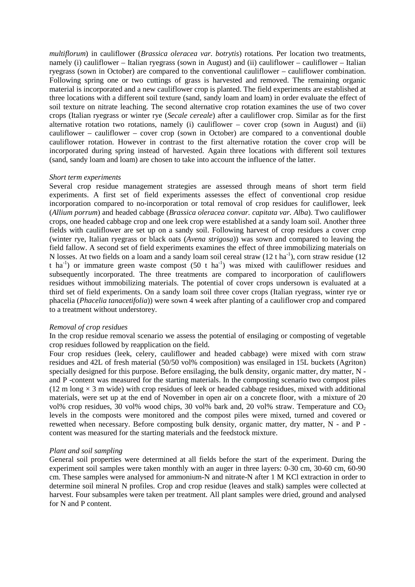*multiflorum*) in cauliflower (*Brassica oleracea var. botrytis*) rotations. Per location two treatments, namely (i) cauliflower – Italian ryegrass (sown in August) and (ii) cauliflower – cauliflower – Italian ryegrass (sown in October) are compared to the conventional cauliflower – cauliflower combination. Following spring one or two cuttings of grass is harvested and removed. The remaining organic material is incorporated and a new cauliflower crop is planted. The field experiments are established at three locations with a different soil texture (sand, sandy loam and loam) in order evaluate the effect of soil texture on nitrate leaching. The second alternative crop rotation examines the use of two cover crops (Italian ryegrass or winter rye (*Secale cereale*) after a cauliflower crop. Similar as for the first alternative rotation two rotations, namely (i) cauliflower – cover crop (sown in August) and (ii) cauliflower – cauliflower – cover crop (sown in October) are compared to a conventional double cauliflower rotation. However in contrast to the first alternative rotation the cover crop will be incorporated during spring instead of harvested. Again three locations with different soil textures (sand, sandy loam and loam) are chosen to take into account the influence of the latter.

#### *Short term experiments*

Several crop residue management strategies are assessed through means of short term field experiments. A first set of field experiments assesses the effect of conventional crop residue incorporation compared to no-incorporation or total removal of crop residues for cauliflower, leek (*Allium porrum*) and headed cabbage (*Brassica oleracea convar. capitata var. Alba*). Two cauliflower crops, one headed cabbage crop and one leek crop were established at a sandy loam soil. Another three fields with cauliflower are set up on a sandy soil. Following harvest of crop residues a cover crop (winter rye, Italian ryegrass or black oats (*Avena strigosa*)) was sown and compared to leaving the field fallow. A second set of field experiments examines the effect of three immobilizing materials on N losses. At two fields on a loam and a sandy loam soil cereal straw  $(12 \text{ t} \text{ ha}^{-1})$ , corn straw residue (12) t ha<sup>-1</sup>) or immature green waste compost  $(50 \text{ t} \text{ ha}^{-1})$  was mixed with cauliflower residues and subsequently incorporated. The three treatments are compared to incorporation of cauliflowers residues without immobilizing materials. The potential of cover crops undersown is evaluated at a third set of field experiments. On a sandy loam soil three cover crops (Italian ryegrass, winter rye or phacelia (*Phacelia tanacetifolia*)) were sown 4 week after planting of a cauliflower crop and compared to a treatment without understorey.

#### *Removal of crop residues*

In the crop residue removal scenario we assess the potential of ensilaging or composting of vegetable crop residues followed by reapplication on the field.

Four crop residues (leek, celery, cauliflower and headed cabbage) were mixed with corn straw residues and 42L of fresh material (50/50 vol% composition) was ensilaged in 15L buckets (Agriton) specially designed for this purpose. Before ensilaging, the bulk density, organic matter, dry matter, N and P -content was measured for the starting materials. In the composting scenario two compost piles (12 m long  $\times$  3 m wide) with crop residues of leek or headed cabbage residues, mixed with additional materials, were set up at the end of November in open air on a concrete floor, with a mixture of 20 vol% crop residues, 30 vol% wood chips, 30 vol% bark and, 20 vol% straw. Temperature and  $CO<sub>2</sub>$ levels in the composts were monitored and the compost piles were mixed, turned and covered or rewetted when necessary. Before composting bulk density, organic matter, dry matter, N - and P content was measured for the starting materials and the feedstock mixture.

#### *Plant and soil sampling*

General soil properties were determined at all fields before the start of the experiment. During the experiment soil samples were taken monthly with an auger in three layers: 0-30 cm, 30-60 cm, 60-90 cm. These samples were analysed for ammonium-N and nitrate-N after 1 M KCl extraction in order to determine soil mineral N profiles. Crop and crop residue (leaves and stalk) samples were collected at harvest. Four subsamples were taken per treatment. All plant samples were dried, ground and analysed for N and P content.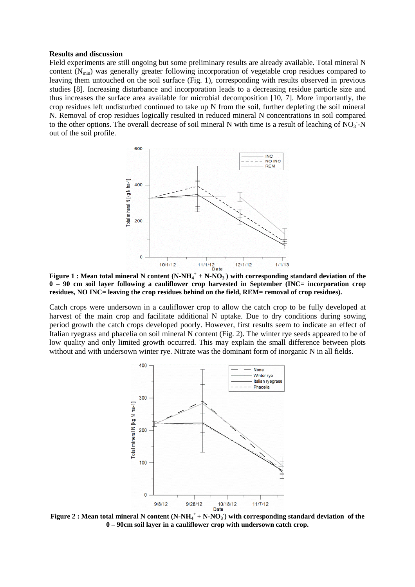#### **Results and discussion**

Field experiments are still ongoing but some preliminary results are already available. Total mineral N content (N<sub>min</sub>) was generally greater following incorporation of vegetable crop residues compared to leaving them untouched on the soil surface (Fig. 1), corresponding with results observed in previous studies [8]. Increasing disturbance and incorporation leads to a decreasing residue particle size and thus increases the surface area available for microbial decomposition [10, 7]. More importantly, the crop residues left undisturbed continued to take up N from the soil, further depleting the soil mineral N. Removal of crop residues logically resulted in reduced mineral N concentrations in soil compared to the other options. The overall decrease of soil mineral N with time is a result of leaching of  $\overline{NO_3}$ -N out of the soil profile.



**Figure 1 : Mean total mineral N content (N-NH<sup>4</sup> + + N-NO<sup>3</sup> - ) with corresponding standard deviation of the 0 – 90 cm soil layer following a cauliflower crop harvested in September (INC= incorporation crop residues, NO INC= leaving the crop residues behind on the field, REM= removal of crop residues).**

Catch crops were undersown in a cauliflower crop to allow the catch crop to be fully developed at harvest of the main crop and facilitate additional N uptake. Due to dry conditions during sowing period growth the catch crops developed poorly. However, first results seem to indicate an effect of Italian ryegrass and phacelia on soil mineral N content (Fig. 2). The winter rye seeds appeared to be of low quality and only limited growth occurred. This may explain the small difference between plots without and with undersown winter rye. Nitrate was the dominant form of inorganic N in all fields.



**Figure 2 : Mean total mineral N content (N-NH<sup>4</sup> <sup>+</sup>+ N-NO<sup>3</sup> - ) with corresponding standard deviation of the 0 – 90cm soil layer in a cauliflower crop with undersown catch crop.**